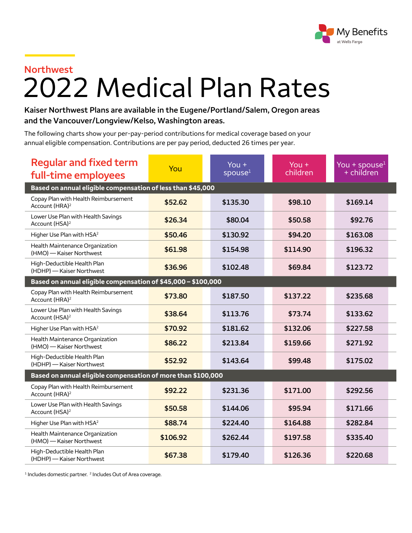

## **Northwest**

## 2022 Medical Plan Rates

**Kaiser Northwest Plans are available in the Eugene/Portland/Salem, Oregon areas and the Vancouver/Longview/Kelso, Washington areas.**

The following charts show your per-pay-period contributions for medical coverage based on your annual eligible compensation. Contributions are per pay period, deducted 26 times per year.

| <b>Regular and fixed term</b><br>full-time employees               | You      | You $+$<br>spouse <sup>1</sup> | You $+$<br>children | You + spouse $1$<br>$+$ children |  |  |  |
|--------------------------------------------------------------------|----------|--------------------------------|---------------------|----------------------------------|--|--|--|
| Based on annual eligible compensation of less than \$45,000        |          |                                |                     |                                  |  |  |  |
| Copay Plan with Health Reimbursement<br>Account (HRA) <sup>2</sup> | \$52.62  | \$135.30                       | \$98.10             | \$169.14                         |  |  |  |
| Lower Use Plan with Health Savings<br>Account (HSA) <sup>2</sup>   | \$26.34  | \$80.04                        | \$50.58             | \$92.76                          |  |  |  |
| Higher Use Plan with HSA <sup>2</sup>                              | \$50.46  | \$130.92                       | \$94.20             | \$163.08                         |  |  |  |
| Health Maintenance Organization<br>(HMO) - Kaiser Northwest        | \$61.98  | \$154.98                       | \$114.90            | \$196.32                         |  |  |  |
| High-Deductible Health Plan<br>(HDHP) - Kaiser Northwest           | \$36.96  | \$102.48                       | \$69.84             | \$123.72                         |  |  |  |
| Based on annual eligible compensation of \$45,000 – \$100,000      |          |                                |                     |                                  |  |  |  |
| Copay Plan with Health Reimbursement<br>Account (HRA) <sup>2</sup> | \$73.80  | \$187.50                       | \$137.22            | \$235.68                         |  |  |  |
| Lower Use Plan with Health Savings<br>Account (HSA) <sup>2</sup>   | \$38.64  | \$113.76                       | \$73.74             | \$133.62                         |  |  |  |
| Higher Use Plan with HSA <sup>2</sup>                              | \$70.92  | \$181.62                       | \$132.06            | \$227.58                         |  |  |  |
| Health Maintenance Organization<br>(HMO) - Kaiser Northwest        | \$86.22  | \$213.84                       | \$159.66            | \$271.92                         |  |  |  |
| High-Deductible Health Plan<br>(HDHP) - Kaiser Northwest           | \$52.92  | \$143.64                       | \$99.48             | \$175.02                         |  |  |  |
| Based on annual eligible compensation of more than \$100,000       |          |                                |                     |                                  |  |  |  |
| Copay Plan with Health Reimbursement<br>Account (HRA) <sup>2</sup> | \$92.22  | \$231.36                       | \$171.00            | \$292.56                         |  |  |  |
| Lower Use Plan with Health Savings<br>Account (HSA) <sup>2</sup>   | \$50.58  | \$144.06                       | \$95.94             | \$171.66                         |  |  |  |
| Higher Use Plan with HSA <sup>2</sup>                              | \$88.74  | \$224.40                       | \$164.88            | \$282.84                         |  |  |  |
| Health Maintenance Organization<br>(HMO) - Kaiser Northwest        | \$106.92 | \$262.44                       | \$197.58            | \$335.40                         |  |  |  |
| High-Deductible Health Plan<br>(HDHP) - Kaiser Northwest           | \$67.38  | \$179.40                       | \$126.36            | \$220.68                         |  |  |  |

<sup>1</sup> Includes domestic partner.<sup>2</sup> Includes Out of Area coverage.